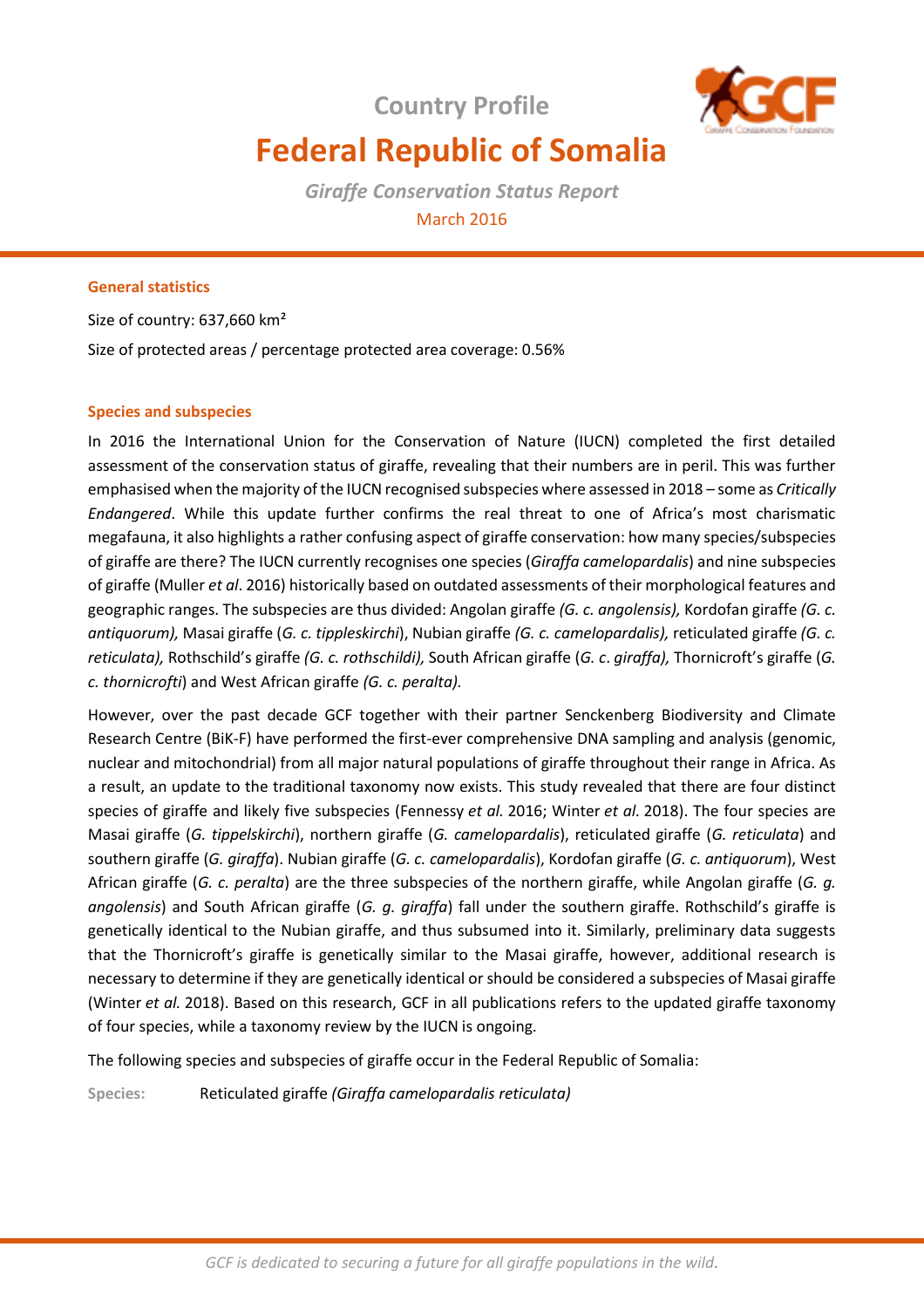**Country Profile**



# **Federal Republic of Somalia**

*Giraffe Conservation Status Report*  March 2016

# **General statistics**

Size of country: 637,660 km² Size of protected areas / percentage protected area coverage: 0.56%

## **Species and subspecies**

In 2016 the International Union for the Conservation of Nature (IUCN) completed the first detailed assessment of the conservation status of giraffe, revealing that their numbers are in peril. This was further emphasised when the majority of the IUCN recognised subspecies where assessed in 2018 – some as *Critically Endangered*. While this update further confirms the real threat to one of Africa's most charismatic megafauna, it also highlights a rather confusing aspect of giraffe conservation: how many species/subspecies of giraffe are there? The IUCN currently recognises one species (*Giraffa camelopardalis*) and nine subspecies of giraffe (Muller *et al*. 2016) historically based on outdated assessments of their morphological features and geographic ranges. The subspecies are thus divided: Angolan giraffe *(G. c. angolensis),* Kordofan giraffe *(G. c. antiquorum),* Masai giraffe (*G. c. tippleskirchi*), Nubian giraffe *(G. c. camelopardalis),* reticulated giraffe *(G. c. reticulata),* Rothschild's giraffe *(G. c. rothschildi),* South African giraffe (*G. c*. *giraffa),* Thornicroft's giraffe (*G. c. thornicrofti*) and West African giraffe *(G. c. peralta).* 

However, over the past decade GCF together with their partner Senckenberg Biodiversity and Climate Research Centre (BiK-F) have performed the first-ever comprehensive DNA sampling and analysis (genomic, nuclear and mitochondrial) from all major natural populations of giraffe throughout their range in Africa. As a result, an update to the traditional taxonomy now exists. This study revealed that there are four distinct species of giraffe and likely five subspecies (Fennessy *et al.* 2016; Winter *et al.* 2018). The four species are Masai giraffe (*G. tippelskirchi*), northern giraffe (*G. camelopardalis*), reticulated giraffe (*G. reticulata*) and southern giraffe (*G. giraffa*). Nubian giraffe (*G. c. camelopardalis*), Kordofan giraffe (*G. c. antiquorum*), West African giraffe (*G. c. peralta*) are the three subspecies of the northern giraffe, while Angolan giraffe (*G. g. angolensis*) and South African giraffe (*G. g. giraffa*) fall under the southern giraffe. Rothschild's giraffe is genetically identical to the Nubian giraffe, and thus subsumed into it. Similarly, preliminary data suggests that the Thornicroft's giraffe is genetically similar to the Masai giraffe, however, additional research is necessary to determine if they are genetically identical or should be considered a subspecies of Masai giraffe (Winter *et al.* 2018). Based on this research, GCF in all publications refers to the updated giraffe taxonomy of four species, while a taxonomy review by the IUCN is ongoing.

The following species and subspecies of giraffe occur in the Federal Republic of Somalia:

**Species:** Reticulated giraffe *(Giraffa camelopardalis reticulata)*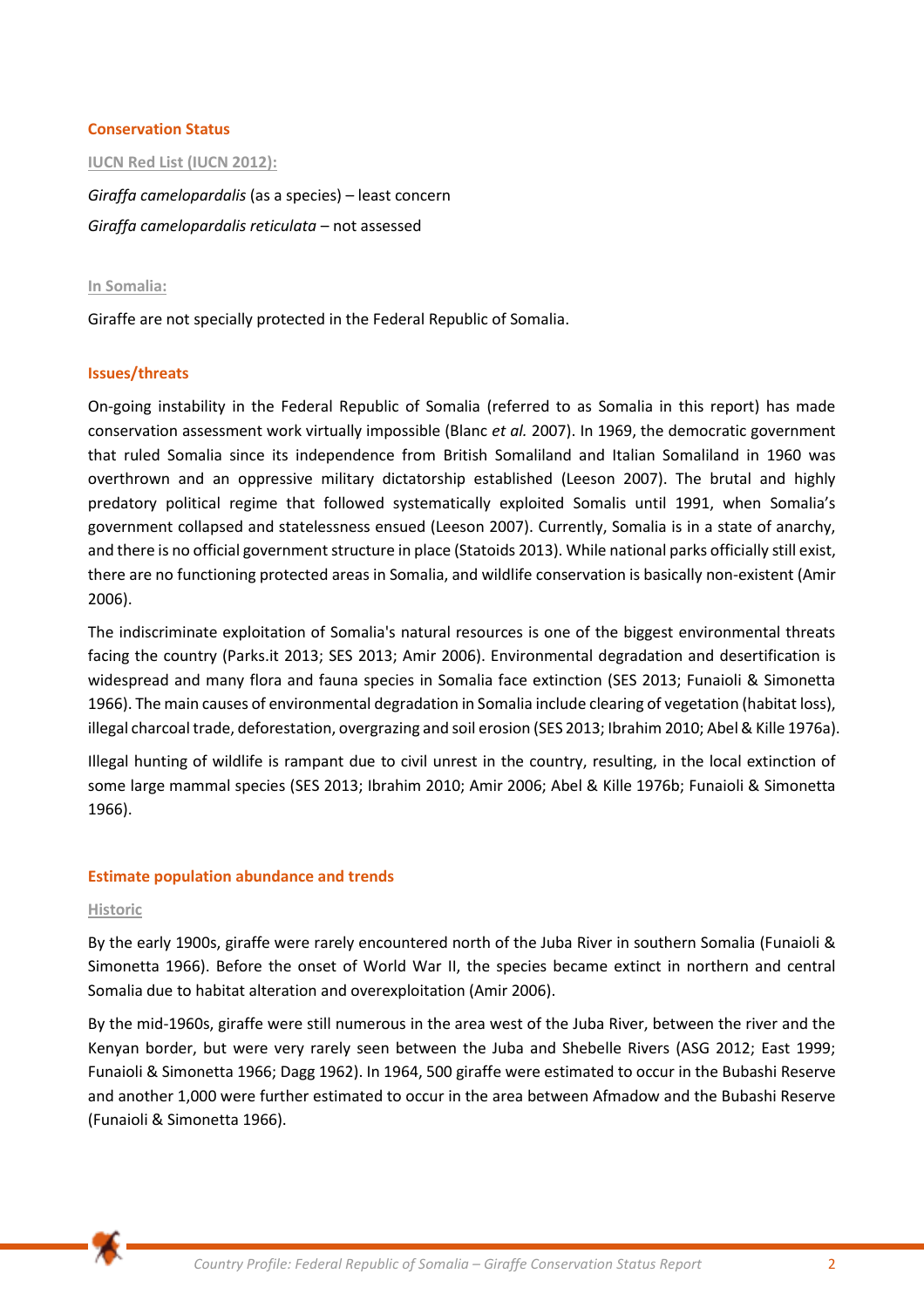#### **Conservation Status**

#### **IUCN Red List (IUCN 2012):**

*Giraffa camelopardalis* (as a species) – least concern *Giraffa camelopardalis reticulata* – not assessed

#### **In Somalia:**

Giraffe are not specially protected in the Federal Republic of Somalia.

#### **Issues/threats**

On-going instability in the Federal Republic of Somalia (referred to as Somalia in this report) has made conservation assessment work virtually impossible (Blanc *et al.* 2007). In 1969, the democratic government that ruled Somalia since its independence from British Somaliland and Italian Somaliland in 1960 was overthrown and an oppressive military dictatorship established (Leeson 2007). The brutal and highly predatory political regime that followed systematically exploited Somalis until 1991, when Somalia's government collapsed and statelessness ensued (Leeson 2007). Currently, Somalia is in a state of anarchy, and there is no official government structure in place (Statoids 2013). While national parks officially still exist, there are no functioning protected areas in Somalia, and wildlife conservation is basically non-existent (Amir 2006).

The indiscriminate exploitation of Somalia's natural resources is one of the biggest environmental threats facing the country (Parks.it 2013; SES 2013; Amir 2006). Environmental degradation and desertification is widespread and many flora and fauna species in Somalia face extinction (SES 2013; Funaioli & Simonetta 1966). The main causes of environmental degradation in Somalia include clearing of vegetation (habitat loss), illegal charcoal trade, deforestation, overgrazing and soil erosion (SES 2013; Ibrahim 2010; Abel & Kille 1976a).

Illegal hunting of wildlife is rampant due to civil unrest in the country, resulting, in the local extinction of some large mammal species (SES 2013; Ibrahim 2010; Amir 2006; Abel & Kille 1976b; Funaioli & Simonetta 1966).

#### **Estimate population abundance and trends**

#### **Historic**

By the early 1900s, giraffe were rarely encountered north of the Juba River in southern Somalia (Funaioli & Simonetta 1966). Before the onset of World War II, the species became extinct in northern and central Somalia due to habitat alteration and overexploitation (Amir 2006).

By the mid-1960s, giraffe were still numerous in the area west of the Juba River, between the river and the Kenyan border, but were very rarely seen between the Juba and Shebelle Rivers (ASG 2012; East 1999; Funaioli & Simonetta 1966; Dagg 1962). In 1964, 500 giraffe were estimated to occur in the Bubashi Reserve and another 1,000 were further estimated to occur in the area between Afmadow and the Bubashi Reserve (Funaioli & Simonetta 1966).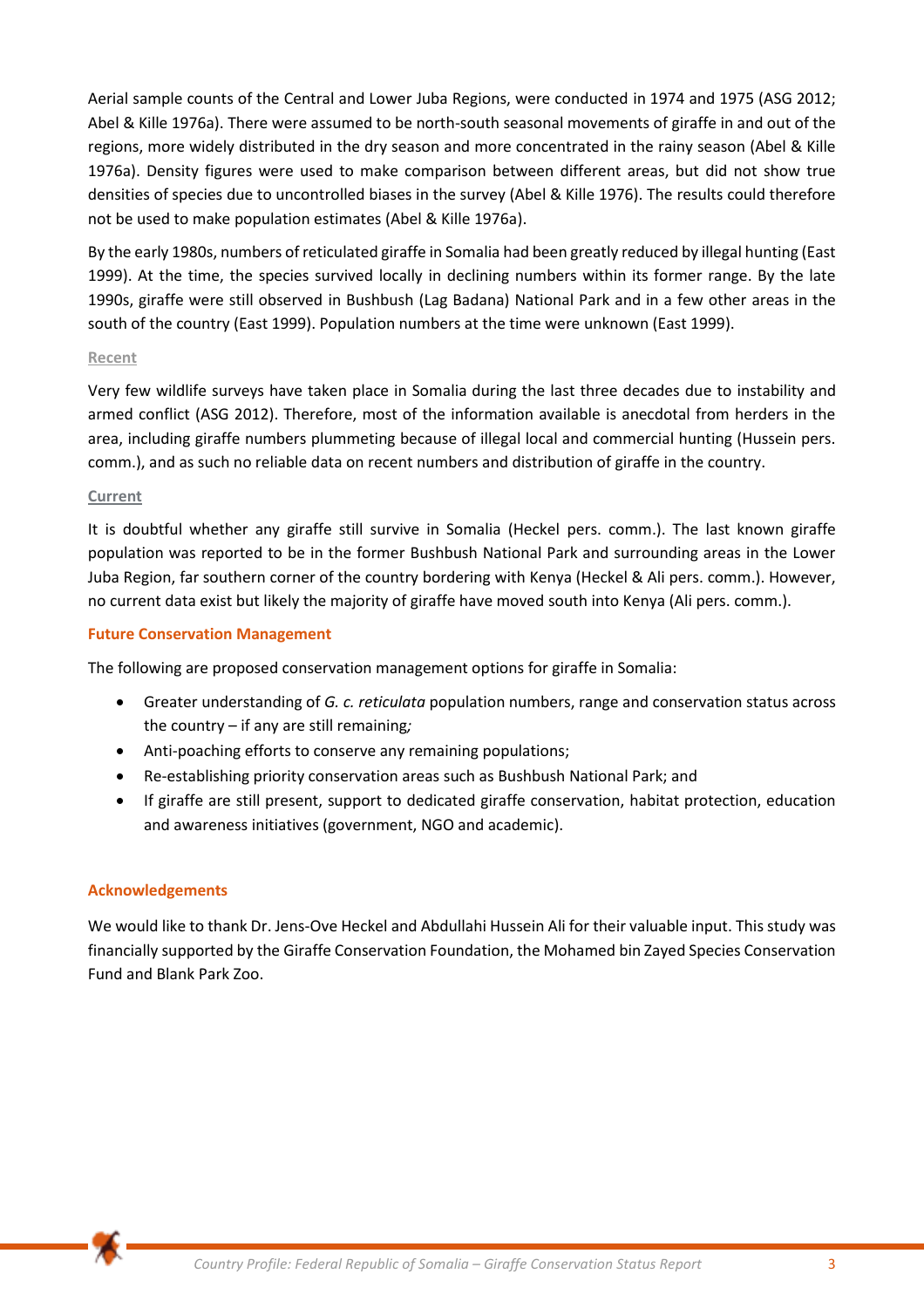Aerial sample counts of the Central and Lower Juba Regions, were conducted in 1974 and 1975 (ASG 2012; Abel & Kille 1976a). There were assumed to be north-south seasonal movements of giraffe in and out of the regions, more widely distributed in the dry season and more concentrated in the rainy season (Abel & Kille 1976a). Density figures were used to make comparison between different areas, but did not show true densities of species due to uncontrolled biases in the survey (Abel & Kille 1976). The results could therefore not be used to make population estimates (Abel & Kille 1976a).

By the early 1980s, numbers of reticulated giraffe in Somalia had been greatly reduced by illegal hunting (East 1999). At the time, the species survived locally in declining numbers within its former range. By the late 1990s, giraffe were still observed in Bushbush (Lag Badana) National Park and in a few other areas in the south of the country (East 1999). Population numbers at the time were unknown (East 1999).

#### **Recent**

Very few wildlife surveys have taken place in Somalia during the last three decades due to instability and armed conflict (ASG 2012). Therefore, most of the information available is anecdotal from herders in the area, including giraffe numbers plummeting because of illegal local and commercial hunting (Hussein pers. comm.), and as such no reliable data on recent numbers and distribution of giraffe in the country.

#### **Current**

It is doubtful whether any giraffe still survive in Somalia (Heckel pers. comm.). The last known giraffe population was reported to be in the former Bushbush National Park and surrounding areas in the Lower Juba Region, far southern corner of the country bordering with Kenya (Heckel & Ali pers. comm.). However, no current data exist but likely the majority of giraffe have moved south into Kenya (Ali pers. comm.).

## **Future Conservation Management**

The following are proposed conservation management options for giraffe in Somalia:

- Greater understanding of *G. c. reticulata* population numbers, range and conservation status across the country – if any are still remaining*;*
- Anti-poaching efforts to conserve any remaining populations;
- Re-establishing priority conservation areas such as Bushbush National Park; and
- If giraffe are still present, support to dedicated giraffe conservation, habitat protection, education and awareness initiatives (government, NGO and academic).

# **Acknowledgements**

We would like to thank Dr. Jens-Ove Heckel and Abdullahi Hussein Ali for their valuable input. This study was financially supported by the Giraffe Conservation Foundation, the Mohamed bin Zayed Species Conservation Fund and Blank Park Zoo.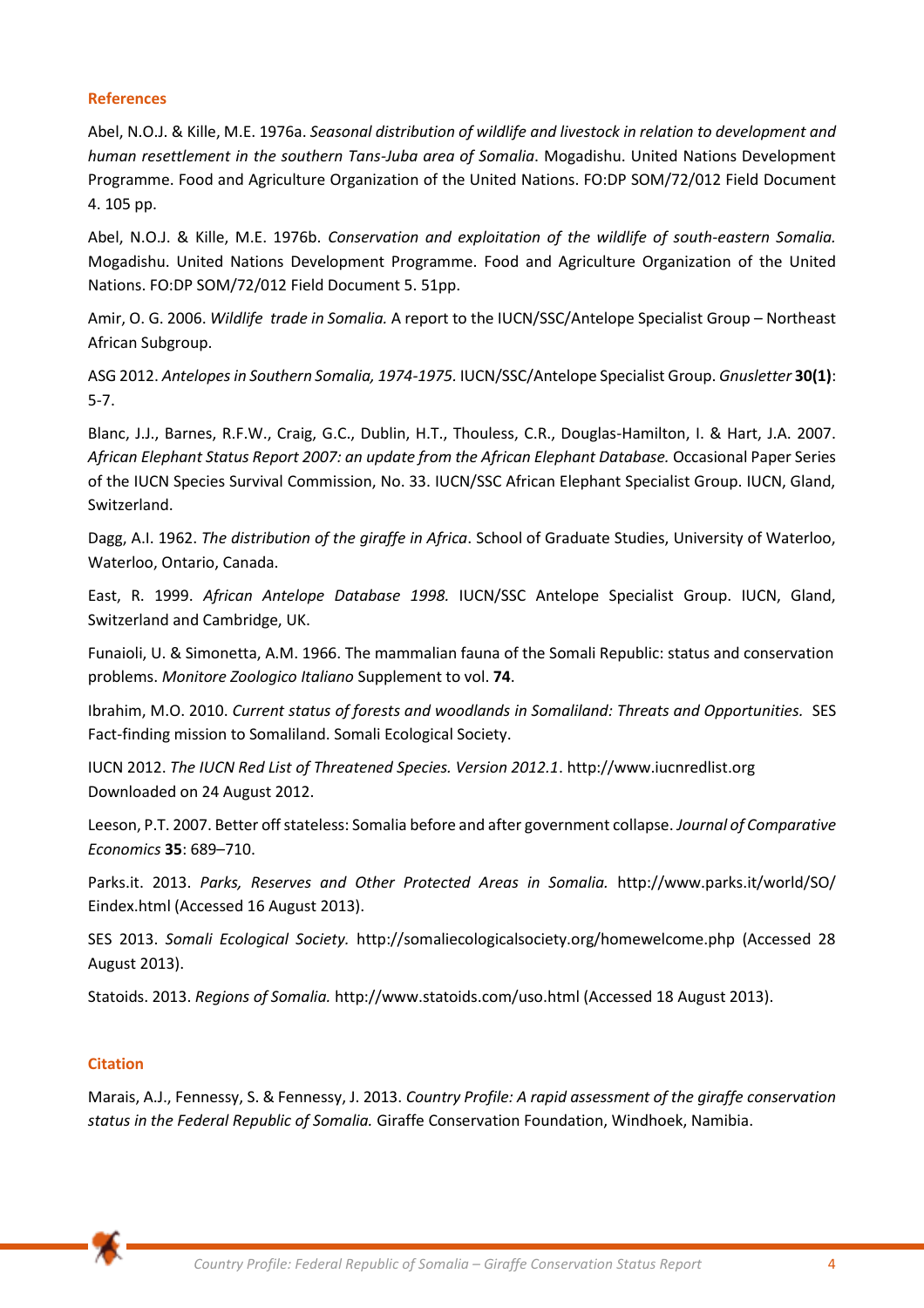#### **References**

Abel, N.O.J. & Kille, M.E. 1976a. *Seasonal distribution of wildlife and livestock in relation to development and human resettlement in the southern Tans-Juba area of Somalia*. Mogadishu. United Nations Development Programme. Food and Agriculture Organization of the United Nations. FO:DP SOM/72/012 Field Document 4. 105 pp.

Abel, N.O.J. & Kille, M.E. 1976b. *Conservation and exploitation of the wildlife of south-eastern Somalia.*  Mogadishu. United Nations Development Programme. Food and Agriculture Organization of the United Nations. FO:DP SOM/72/012 Field Document 5. 51pp.

Amir, O. G. 2006. *Wildlife trade in Somalia.* A report to the IUCN/SSC/Antelope Specialist Group – Northeast African Subgroup.

ASG 2012. *Antelopes in Southern Somalia, 1974-1975.* IUCN/SSC/Antelope Specialist Group. *Gnusletter* **30(1)**: 5-7.

Blanc, J.J., Barnes, R.F.W., Craig, G.C., Dublin, H.T., Thouless, C.R., Douglas-Hamilton, I. & Hart, J.A. 2007. *African Elephant Status Report 2007: an update from the African Elephant Database.* Occasional Paper Series of the IUCN Species Survival Commission, No. 33. IUCN/SSC African Elephant Specialist Group. IUCN, Gland, Switzerland.

Dagg, A.I. 1962. *The distribution of the giraffe in Africa*. School of Graduate Studies, University of Waterloo, Waterloo, Ontario, Canada.

East, R. 1999. *African Antelope Database 1998.* IUCN/SSC Antelope Specialist Group. IUCN, Gland, Switzerland and Cambridge, UK.

Funaioli, U. & Simonetta, A.M. 1966. The mammalian fauna of the Somali Republic: status and conservation problems. *Monitore Zoologico Italiano* Supplement to vol. **74**.

Ibrahim, M.O. 2010. *Current status of forests and woodlands in Somaliland: Threats and Opportunities.* SES Fact-finding mission to Somaliland. Somali Ecological Society.

IUCN 2012. *The IUCN Red List of Threatened Species. Version 2012.1*. http://www.iucnredlist.org Downloaded on 24 August 2012.

Leeson, P.T. 2007. Better off stateless: Somalia before and after government collapse. *Journal of Comparative Economics* **35**: 689–710.

Parks.it. 2013. *Parks, Reserves and Other Protected Areas in Somalia.* http://www.parks.it/world/SO/ Eindex.html (Accessed 16 August 2013).

SES 2013. *Somali Ecological Society.* http://somaliecologicalsociety.org/homewelcome.php (Accessed 28 August 2013).

Statoids. 2013. *Regions of Somalia.* http://www.statoids.com/uso.html (Accessed 18 August 2013).

# **Citation**

Marais, A.J., Fennessy, S. & Fennessy, J. 2013. *Country Profile: A rapid assessment of the giraffe conservation status in the Federal Republic of Somalia.* Giraffe Conservation Foundation, Windhoek, Namibia.